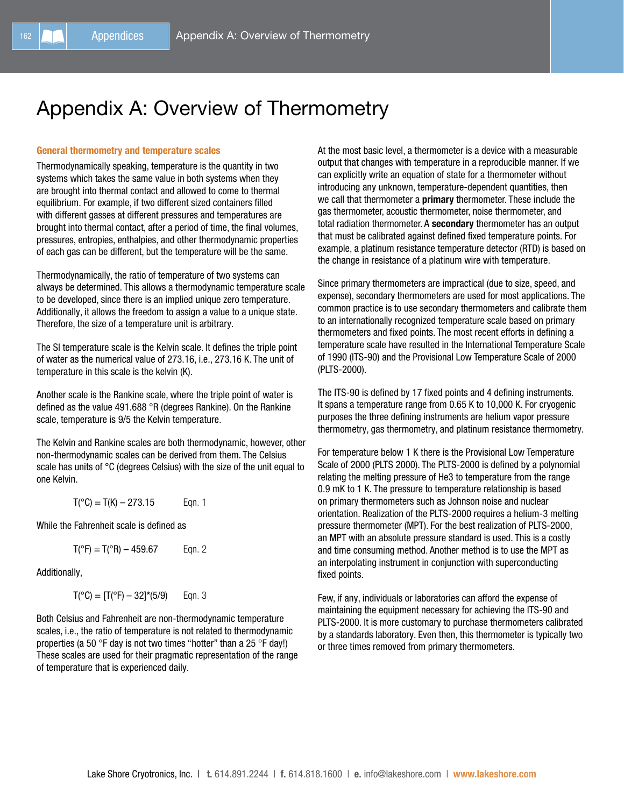## Appendix A: Overview of Thermometry

## General thermometry and temperature scales

Thermodynamically speaking, temperature is the quantity in two systems which takes the same value in both systems when they are brought into thermal contact and allowed to come to thermal equilibrium. For example, if two different sized containers filled with different gasses at different pressures and temperatures are brought into thermal contact, after a period of time, the final volumes, pressures, entropies, enthalpies, and other thermodynamic properties of each gas can be different, but the temperature will be the same.

Thermodynamically, the ratio of temperature of two systems can always be determined. This allows a thermodynamic temperature scale to be developed, since there is an implied unique zero temperature. Additionally, it allows the freedom to assign a value to a unique state. Therefore, the size of a temperature unit is arbitrary.

The SI temperature scale is the Kelvin scale. It defines the triple point of water as the numerical value of 273.16, i.e., 273.16 K. The unit of temperature in this scale is the kelvin (K).

Another scale is the Rankine scale, where the triple point of water is defined as the value 491.688 °R (degrees Rankine). On the Rankine scale, temperature is 9/5 the Kelvin temperature.

The Kelvin and Rankine scales are both thermodynamic, however, other non-thermodynamic scales can be derived from them. The Celsius scale has units of °C (degrees Celsius) with the size of the unit equal to one Kelvin.

$$
T(^{\circ}C) = T(K) - 273.15 \qquad \text{Eqn. 1}
$$

While the Fahrenheit scale is defined as

$$
T(^{\circ}F) = T(^{\circ}R) - 459.67
$$
 Eqn. 2

Additionally,

$$
T(^{\circ}C) = [T(^{\circ}F) - 32]^*(5/9) \qquad \text{Eqn. 3}
$$

Both Celsius and Fahrenheit are non-thermodynamic temperature scales, i.e., the ratio of temperature is not related to thermodynamic properties (a 50 °F day is not two times "hotter" than a 25 °F day!) These scales are used for their pragmatic representation of the range of temperature that is experienced daily.

At the most basic level, a thermometer is a device with a measurable output that changes with temperature in a reproducible manner. If we can explicitly write an equation of state for a thermometer without introducing any unknown, temperature-dependent quantities, then we call that thermometer a **primary** thermometer. These include the gas thermometer, acoustic thermometer, noise thermometer, and total radiation thermometer. A secondary thermometer has an output that must be calibrated against defined fixed temperature points. For example, a platinum resistance temperature detector (RTD) is based on the change in resistance of a platinum wire with temperature.

Since primary thermometers are impractical (due to size, speed, and expense), secondary thermometers are used for most applications. The common practice is to use secondary thermometers and calibrate them to an internationally recognized temperature scale based on primary thermometers and fixed points. The most recent efforts in defining a temperature scale have resulted in the International Temperature Scale of 1990 (ITS-90) and the Provisional Low Temperature Scale of 2000 (PLTS-2000).

The ITS-90 is defined by 17 fixed points and 4 defining instruments. It spans a temperature range from 0.65 K to 10,000 K. For cryogenic purposes the three defining instruments are helium vapor pressure thermometry, gas thermometry, and platinum resistance thermometry.

For temperature below 1 K there is the Provisional Low Temperature Scale of 2000 (PLTS 2000). The PLTS-2000 is defined by a polynomial relating the melting pressure of He3 to temperature from the range 0.9 mK to 1 K. The pressure to temperature relationship is based on primary thermometers such as Johnson noise and nuclear orientation. Realization of the PLTS-2000 requires a helium-3 melting pressure thermometer (MPT). For the best realization of PLTS-2000, an MPT with an absolute pressure standard is used. This is a costly and time consuming method. Another method is to use the MPT as an interpolating instrument in conjunction with superconducting fixed points.

Few, if any, individuals or laboratories can afford the expense of maintaining the equipment necessary for achieving the ITS-90 and PLTS-2000. It is more customary to purchase thermometers calibrated by a standards laboratory. Even then, this thermometer is typically two or three times removed from primary thermometers.